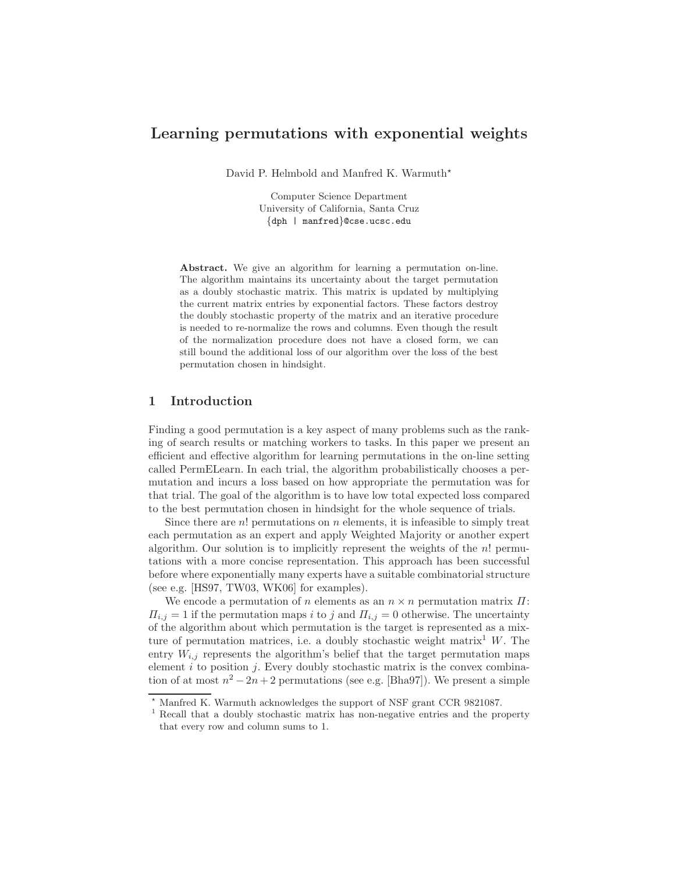# **Learning permutations with exponential weights**

David P. Helmbold and Manfred K. Warmuth

Computer Science Department University of California, Santa Cruz {dph | manfred}@cse.ucsc.edu

**Abstract.** We give an algorithm for learning a permutation on-line. The algorithm maintains its uncertainty about the target permutation as a doubly stochastic matrix. This matrix is updated by multiplying the current matrix entries by exponential factors. These factors destroy the doubly stochastic property of the matrix and an iterative procedure is needed to re-normalize the rows and columns. Even though the result of the normalization procedure does not have a closed form, we can still bound the additional loss of our algorithm over the loss of the best permutation chosen in hindsight.

## **1 Introduction**

Finding a good permutation is a key aspect of many problems such as the ranking of search results or matching workers to tasks. In this paper we present an efficient and effective algorithm for learning permutations in the on-line setting called PermELearn. In each trial, the algorithm probabilistically chooses a permutation and incurs a loss based on how appropriate the permutation was for that trial. The goal of the algorithm is to have low total expected loss compared to the best permutation chosen in hindsight for the whole sequence of trials.

Since there are  $n!$  permutations on  $n$  elements, it is infeasible to simply treat each permutation as an expert and apply Weighted Majority or another expert algorithm. Our solution is to implicitly represent the weights of the  $n!$  permutations with a more concise representation. This approach has been successful before where exponentially many experts have a suitable combinatorial structure (see e.g. [HS97, TW03, WK06] for examples).

We encode a permutation of n elements as an  $n \times n$  permutation matrix  $\Pi$ :  $\Pi_{i,j} = 1$  if the permutation maps i to j and  $\Pi_{i,j} = 0$  otherwise. The uncertainty of the algorithm about which permutation is the target is represented as a mixture of permutation matrices, i.e. a doubly stochastic weight matrix<sup>1</sup> W. The entry  $W_{i,j}$  represents the algorithm's belief that the target permutation maps element  $i$  to position  $j$ . Every doubly stochastic matrix is the convex combination of at most  $n^2 - 2n + 2$  permutations (see e.g. [Bha97]). We present a simple

 $*$  Manfred K. Warmuth acknowledges the support of NSF grant CCR 9821087.

<sup>1</sup> Recall that a doubly stochastic matrix has non-negative entries and the property that every row and column sums to 1.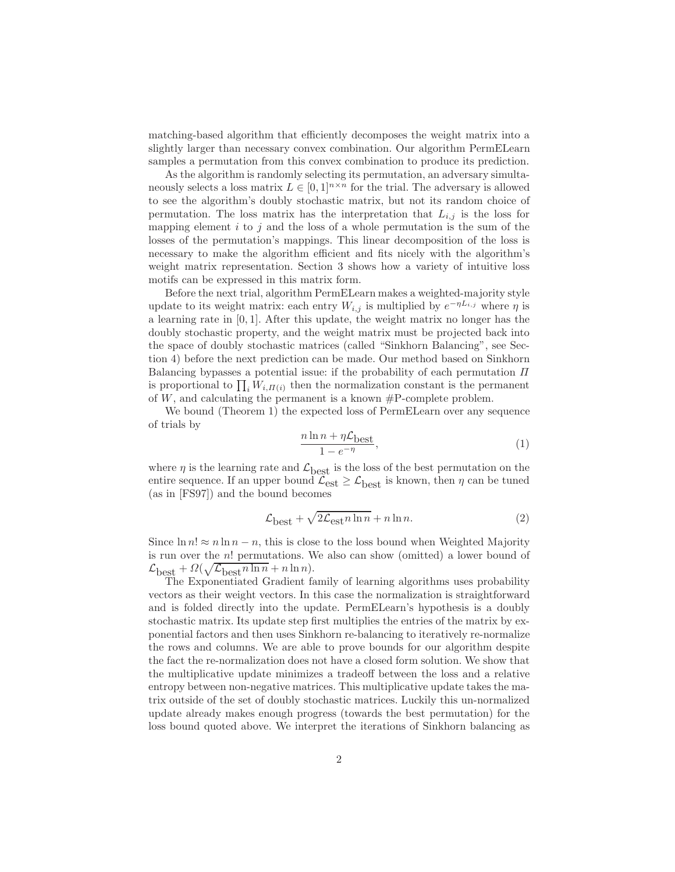matching-based algorithm that efficiently decomposes the weight matrix into a slightly larger than necessary convex combination. Our algorithm PermELearn samples a permutation from this convex combination to produce its prediction.

As the algorithm is randomly selecting its permutation, an adversary simultaneously selects a loss matrix  $L \in [0, 1]^{n \times n}$  for the trial. The adversary is allowed to see the algorithm's doubly stochastic matrix, but not its random choice of permutation. The loss matrix has the interpretation that  $L_{i,j}$  is the loss for mapping element  $i$  to  $j$  and the loss of a whole permutation is the sum of the losses of the permutation's mappings. This linear decomposition of the loss is necessary to make the algorithm efficient and fits nicely with the algorithm's weight matrix representation. Section 3 shows how a variety of intuitive loss motifs can be expressed in this matrix form.

Before the next trial, algorithm PermELearn makes a weighted-majority style update to its weight matrix: each entry  $W_{i,j}$  is multiplied by  $e^{-\eta L_{i,j}}$  where  $\eta$  is a learning rate in [0, 1]. After this update, the weight matrix no longer has the doubly stochastic property, and the weight matrix must be projected back into the space of doubly stochastic matrices (called "Sinkhorn Balancing", see Section 4) before the next prediction can be made. Our method based on Sinkhorn Balancing bypasses a potential issue: if the probability of each permutation  $\Pi$ is proportional to  $\prod_i W_{i, \Pi(i)}$  then the normalization constant is the permanent of  $W$ , and calculating the permanent is a known  $\#P$ -complete problem.

We bound (Theorem 1) the expected loss of PermELearn over any sequence of trials by

$$
\frac{n\ln n + \eta \mathcal{L}_{\text{best}}}{1 - e^{-\eta}},\tag{1}
$$

where  $\eta$  is the learning rate and  $\mathcal{L}_{\text{best}}$  is the loss of the best permutation on the entire sequence. If an upper bound  $\tilde{\mathcal{L}}_{est} \geq \mathcal{L}_{best}$  is known, then  $\eta$  can be tuned (as in [FS97]) and the bound becomes

$$
\mathcal{L}_{\text{best}} + \sqrt{2\mathcal{L}_{\text{est}}n\ln n} + n\ln n. \tag{2}
$$

Since  $\ln n! \approx n \ln n - n$ , this is close to the loss bound when Weighted Majority is run over the n! permutations. We also can show (omitted) a lower bound of  $\mathcal{L}_{\text{best}} + \Omega(\sqrt{\mathcal{L}_{\text{best}} n \ln n} + n \ln n).$ 

The Exponentiated Gradient family of learning algorithms uses probability vectors as their weight vectors. In this case the normalization is straightforward and is folded directly into the update. PermELearn's hypothesis is a doubly stochastic matrix. Its update step first multiplies the entries of the matrix by exponential factors and then uses Sinkhorn re-balancing to iteratively re-normalize the rows and columns. We are able to prove bounds for our algorithm despite the fact the re-normalization does not have a closed form solution. We show that the multiplicative update minimizes a tradeoff between the loss and a relative entropy between non-negative matrices. This multiplicative update takes the matrix outside of the set of doubly stochastic matrices. Luckily this un-normalized update already makes enough progress (towards the best permutation) for the loss bound quoted above. We interpret the iterations of Sinkhorn balancing as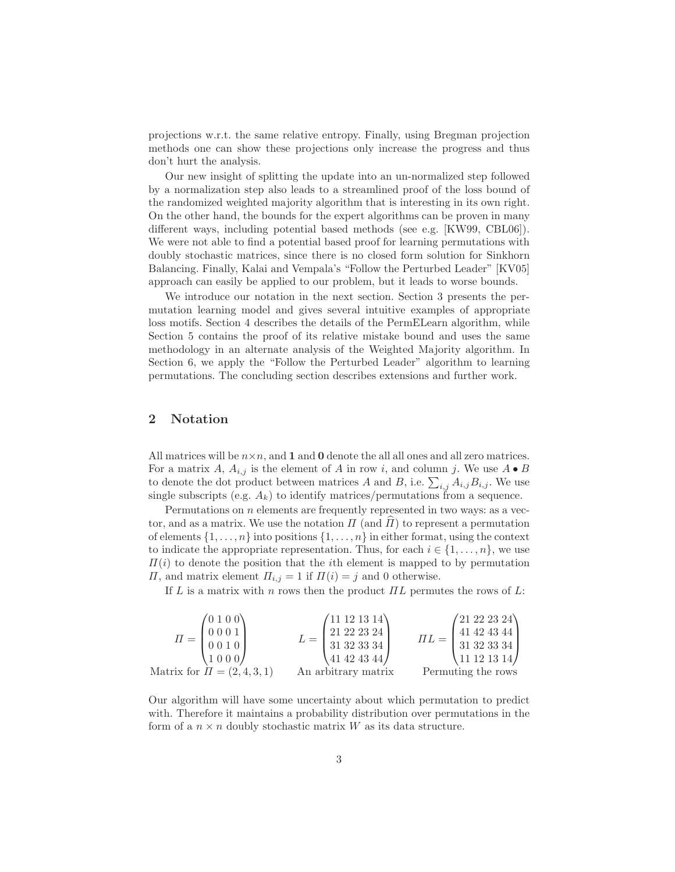projections w.r.t. the same relative entropy. Finally, using Bregman projection methods one can show these projections only increase the progress and thus don't hurt the analysis.

Our new insight of splitting the update into an un-normalized step followed by a normalization step also leads to a streamlined proof of the loss bound of the randomized weighted majority algorithm that is interesting in its own right. On the other hand, the bounds for the expert algorithms can be proven in many different ways, including potential based methods (see e.g. [KW99, CBL06]). We were not able to find a potential based proof for learning permutations with doubly stochastic matrices, since there is no closed form solution for Sinkhorn Balancing. Finally, Kalai and Vempala's "Follow the Perturbed Leader" [KV05] approach can easily be applied to our problem, but it leads to worse bounds.

We introduce our notation in the next section. Section 3 presents the permutation learning model and gives several intuitive examples of appropriate loss motifs. Section 4 describes the details of the PermELearn algorithm, while Section 5 contains the proof of its relative mistake bound and uses the same methodology in an alternate analysis of the Weighted Majority algorithm. In Section 6, we apply the "Follow the Perturbed Leader" algorithm to learning permutations. The concluding section describes extensions and further work.

## **2 Notation**

All matrices will be  $n \times n$ , and **1** and **0** denote the all all ones and all zero matrices. For a matrix A,  $A_{i,j}$  is the element of A in row i, and column j. We use  $A \bullet B$ to denote the dot product between matrices A and B, i.e.  $\sum_{i,j} A_{i,j} B_{i,j}$ . We use single subscripts (e.g.  $A_k$ ) to identify matrices/permutations from a sequence.

Permutations on n elements are frequently represented in two ways: as a vector, and as a matrix. We use the notation  $\Pi$  (and  $\Pi$ ) to represent a permutation of elements  $\{1,\ldots,n\}$  into positions  $\{1,\ldots,n\}$  in either format, using the context to indicate the appropriate representation. Thus, for each  $i \in \{1, \ldots, n\}$ , we use  $\Pi(i)$  to denote the position that the *i*th element is mapped to by permutation Π, and matrix element  $\Pi_{i,j} = 1$  if  $\Pi(i) = j$  and 0 otherwise.

If L is a matrix with n rows then the product  $\Pi L$  permutes the rows of L:

| (0100)                                                                                  | $(11\ 12\ 13\ 14)$                                              | $(21\ 22\ 23\ 24)$                                                                                   |
|-----------------------------------------------------------------------------------------|-----------------------------------------------------------------|------------------------------------------------------------------------------------------------------|
| $\varPi = \left[ \begin{array}{rrr} 0 & 0 & 0 & 1 \\ 0 & 0 & 1 & 0 \end{array} \right]$ | $\begin{array}{c} 21\ 22\ 23\ 24 \\ 31\ 32\ 33\ 34 \end{array}$ | $\begin{array}{ c c c c }\hline 41 & 42 & 43 & 44 \\ \hline 31 & 32 & 33 & 34 \\ \hline \end{array}$ |
| 1000                                                                                    | (41 42 43 44 /                                                  | $\left(11\ 12\ 13\ 14\right)$                                                                        |
| Matrix for $\Pi = (2, 4, 3, 1)$                                                         | An arbitrary matrix                                             | Permuting the rows                                                                                   |

Our algorithm will have some uncertainty about which permutation to predict with. Therefore it maintains a probability distribution over permutations in the form of a  $n \times n$  doubly stochastic matrix W as its data structure.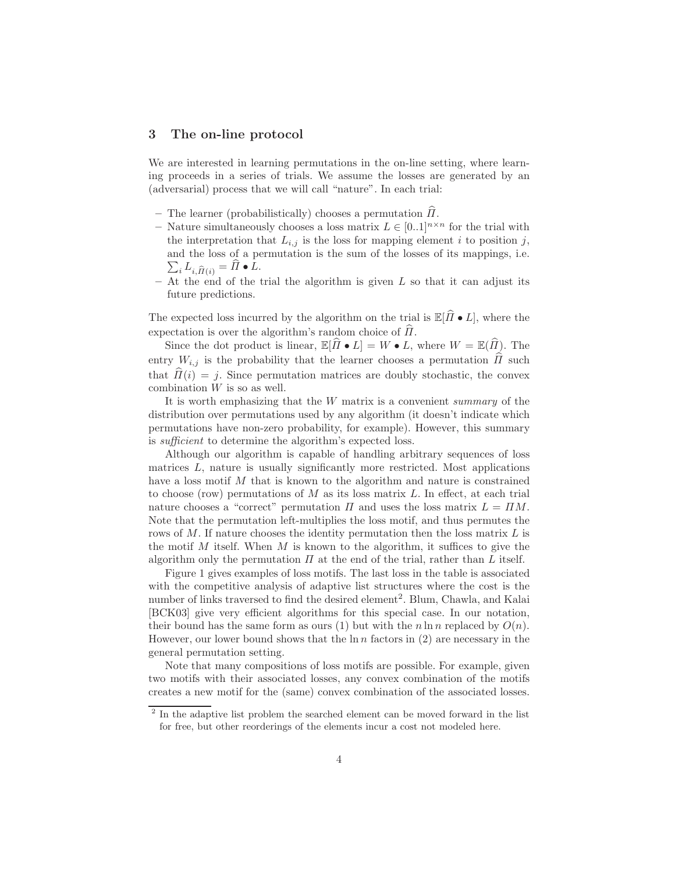## **3 The on-line protocol**

We are interested in learning permutations in the on-line setting, where learning proceeds in a series of trials. We assume the losses are generated by an (adversarial) process that we will call "nature". In each trial:

- $-$  The learner (probabilistically) chooses a permutation  $\hat{\Pi}$ .
- Nature simultaneously chooses a loss matrix  $L \in [0,1]^{n \times n}$  for the trial with the interpretation that  $L_{i,j}$  is the loss for mapping element i to position j, and the loss of a permutation is the sum of the losses of its mappings, i.e.  $\sum_i L_{i,\widehat{\Pi}(i)} = \Pi \bullet L.$
- **–** At the end of the trial the algorithm is given L so that it can adjust its future predictions.

The expected loss incurred by the algorithm on the trial is  $\mathbb{E}[\hat{\Pi} \bullet L]$ , where the expectation is over the algorithm's random choice of  $\hat{\Pi}$ .

Since the dot product is linear,  $\mathbb{E}[\hat{\Pi} \bullet L] = W \bullet L$ , where  $W = \mathbb{E}(\hat{\Pi})$ . The entry  $W_{i,j}$  is the probability that the learner chooses a permutation  $\widehat{H}$  such that  $\hat{H}(i) = j$ . Since permutation matrices are doubly stochastic, the convex combination  $W$  is so as well.

It is worth emphasizing that the W matrix is a convenient *summary* of the distribution over permutations used by any algorithm (it doesn't indicate which permutations have non-zero probability, for example). However, this summary is *sufficient* to determine the algorithm's expected loss.

Although our algorithm is capable of handling arbitrary sequences of loss matrices L, nature is usually significantly more restricted. Most applications have a loss motif M that is known to the algorithm and nature is constrained to choose (row) permutations of  $M$  as its loss matrix  $L$ . In effect, at each trial nature chooses a "correct" permutation  $\Pi$  and uses the loss matrix  $L = \Pi M$ . Note that the permutation left-multiplies the loss motif, and thus permutes the rows of  $M$ . If nature chooses the identity permutation then the loss matrix  $L$  is the motif M itself. When M is known to the algorithm, it suffices to give the algorithm only the permutation  $\Pi$  at the end of the trial, rather than L itself.

Figure 1 gives examples of loss motifs. The last loss in the table is associated with the competitive analysis of adaptive list structures where the cost is the number of links traversed to find the desired element<sup>2</sup>. Blum, Chawla, and Kalai [BCK03] give very efficient algorithms for this special case. In our notation, their bound has the same form as ours (1) but with the  $n \ln n$  replaced by  $O(n)$ . However, our lower bound shows that the  $\ln n$  factors in (2) are necessary in the general permutation setting.

Note that many compositions of loss motifs are possible. For example, given two motifs with their associated losses, any convex combination of the motifs creates a new motif for the (same) convex combination of the associated losses.

<sup>&</sup>lt;sup>2</sup> In the adaptive list problem the searched element can be moved forward in the list for free, but other reorderings of the elements incur a cost not modeled here.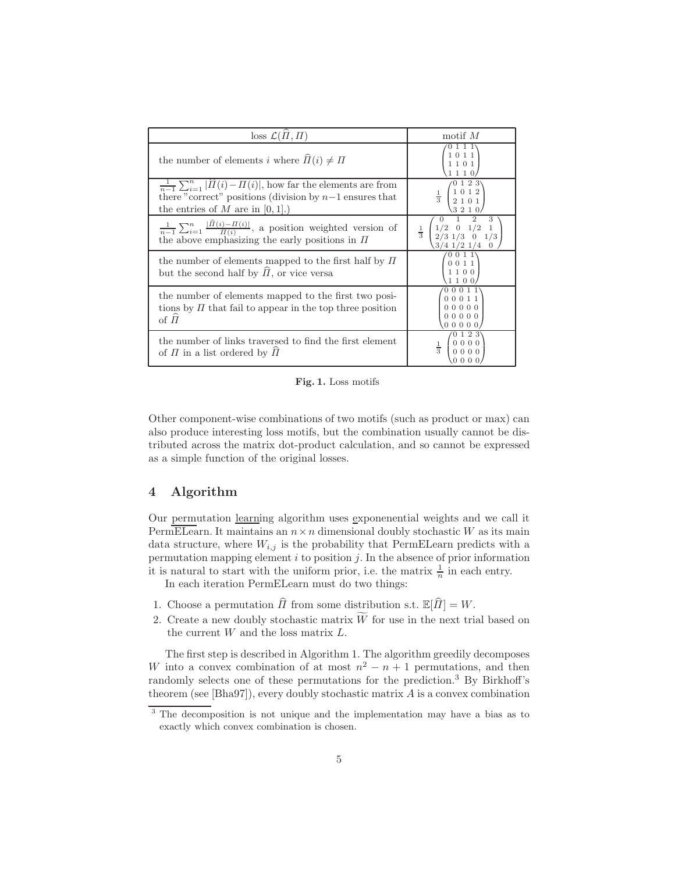| $\text{loss } \mathcal{L}(\widehat{\Pi}, \Pi)$                                                                                                                                      | motif $M$                                                                                                                            |
|-------------------------------------------------------------------------------------------------------------------------------------------------------------------------------------|--------------------------------------------------------------------------------------------------------------------------------------|
| the number of elements i where $\widehat{\Pi}(i) \neq \Pi$                                                                                                                          | $\begin{smallmatrix} 1 & 0 & 1 & 1 \\ 1 & 1 & 0 & 1 \end{smallmatrix}$<br>110                                                        |
| $\frac{1}{n-1}\sum_{i=1}^n \widehat{H}(i)-H(i) $ , how far the elements are from<br>there "correct" positions (division by $n-1$ ensures that<br>the entries of M are in $[0, 1]$ . | $\frac{1}{3}$ $\begin{pmatrix} 0 & 1 & 2 & 3 \\ 1 & 0 & 1 & 2 \\ 2 & 1 & 0 & 1 \end{pmatrix}$<br>3210                                |
| $\frac{1}{n-1}\sum_{i=1}^n \frac{ H(i)-H(i) }{H(i)}$ , a position weighted version of<br>the above emphasizing the early positions in $\Pi$                                         | $\mathfrak{D}$<br>3<br>$\frac{1}{3}$ $\begin{pmatrix} 1/2 & 0 & 1/2 & 1 \\ 2/3 & 1/3 & 0 & 1/3 \\ 3/4 & 1/2 & 1/4 & 0 \end{pmatrix}$ |
| the number of elements mapped to the first half by $\Pi$<br>but the second half by $\widehat{H},$ or vice versa                                                                     | $\begin{smallmatrix} 0&0&1&1\\ 1&1&0&0 \end{smallmatrix}$<br>1100                                                                    |
| the number of elements mapped to the first two posi-<br>tions by $\Pi$ that fail to appear in the top three position<br>of $\overline{H}$                                           | 00011<br>00011<br>00000<br>00000<br>00000                                                                                            |
| the number of links traversed to find the first element<br>of $\Pi$ in a list ordered by $\Pi$                                                                                      | 123<br>$\begin{pmatrix} 0 & 0 & 0 & 0 \\ 0 & 0 & 0 & 0 \end{pmatrix}$<br>$\frac{1}{3}$                                               |

**Fig. 1.** Loss motifs

Other component-wise combinations of two motifs (such as product or max) can also produce interesting loss motifs, but the combination usually cannot be distributed across the matrix dot-product calculation, and so cannot be expressed as a simple function of the original losses.

## **4 Algorithm**

Our permutation learning algorithm uses exponenential weights and we call it PermELearn. It maintains an  $n \times n$  dimensional doubly stochastic W as its main data structure, where  $W_{i,j}$  is the probability that PermELearn predicts with a permutation mapping element  $i$  to position  $j$ . In the absence of prior information it is natural to start with the uniform prior, i.e. the matrix  $\frac{1}{n}$  in each entry.

In each iteration PermELearn must do two things:

- 1. Choose a permutation  $\widehat{\Pi}$  from some distribution s.t.  $\mathbb{E}[\widehat{\Pi}] = W$ .
- 2. Create a new doubly stochastic matrix  $W$  for use in the next trial based on the current  $W$  and the loss matrix  $L$ .

The first step is described in Algorithm 1. The algorithm greedily decomposes W into a convex combination of at most  $n^2 - n + 1$  permutations, and then randomly selects one of these permutations for the prediction.<sup>3</sup> By Birkhoff's theorem (see  $[\text{Bha97}]$ ), every doubly stochastic matrix  $A$  is a convex combination

<sup>3</sup> The decomposition is not unique and the implementation may have a bias as to exactly which convex combination is chosen.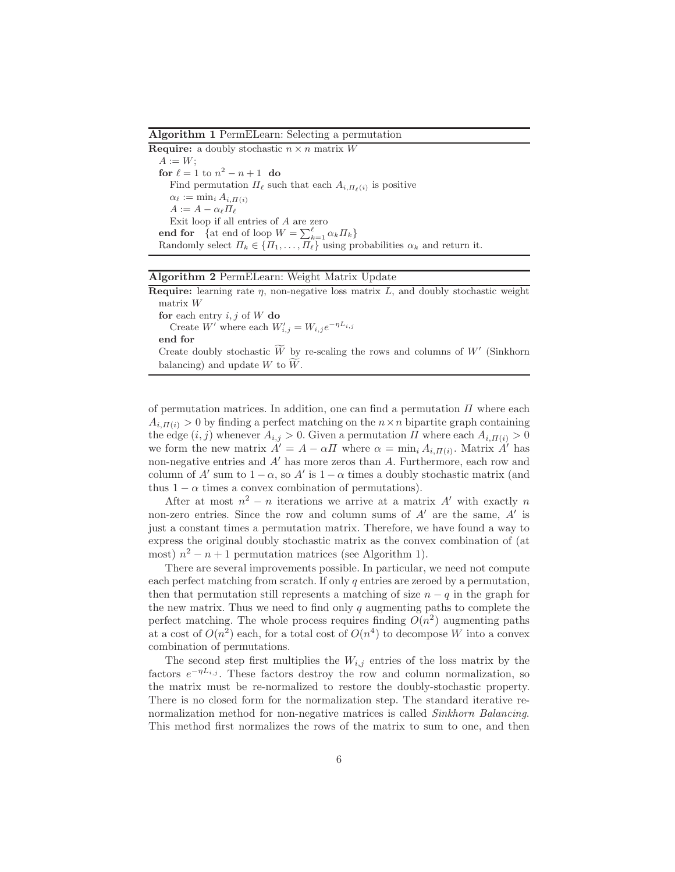#### **Algorithm 1** PermELearn: Selecting a permutation

**Require:** a doubly stochastic  $n \times n$  matrix W  $A := W$ : **for**  $\ell = 1$  to  $n^2 - n + 1$  **do** Find permutation  $\Pi_{\ell}$  such that each  $A_{i,\Pi_{\ell}(i)}$  is positive  $\alpha_{\ell} := \min_i A_{i, \Pi(i)}$  $A := A - \alpha_{\ell} \Pi_{\ell}$ Exit loop if all entries of A are zero **end for** {at end of loop  $W = \sum_{k=1}^{\ell} \alpha_k \prod_k$ } Randomly select  $\Pi_k \in \{\Pi_1, \ldots, \Pi_\ell\}$  using probabilities  $\alpha_k$  and return it.

#### **Algorithm 2** PermELearn: Weight Matrix Update

**Require:** learning rate  $\eta$ , non-negative loss matrix  $L$ , and doubly stochastic weight matrix W **for** each entry  $i, j$  of  $W$  **do** Create  $W'$  where each  $W'_{i,j} = W_{i,j} e^{-\eta L_{i,j}}$ **end for** Create doubly stochastic W by re-scaling the rows and columns of  $W'$  (Sinkhorn balancing) and update  $W$  to  $W$ .

of permutation matrices. In addition, one can find a permutation  $\Pi$  where each  $A_{i,\Pi(i)} > 0$  by finding a perfect matching on the  $n \times n$  bipartite graph containing the edge  $(i, j)$  whenever  $A_{i,j} > 0$ . Given a permutation  $\Pi$  where each  $A_{i, \Pi(i)} > 0$ we form the new matrix  $A' = A - \alpha \Pi$  where  $\alpha = \min_i A_{i, \Pi(i)}$ . Matrix A' has non-negative entries and  $A'$  has more zeros than  $A$ . Furthermore, each row and column of A' sum to  $1 - \alpha$ , so A' is  $1 - \alpha$  times a doubly stochastic matrix (and thus  $1 - \alpha$  times a convex combination of permutations).

After at most  $n^2 - n$  iterations we arrive at a matrix A' with exactly n non-zero entries. Since the row and column sums of  $A'$  are the same,  $A'$  is just a constant times a permutation matrix. Therefore, we have found a way to express the original doubly stochastic matrix as the convex combination of (at most)  $n^2 - n + 1$  permutation matrices (see Algorithm 1).

There are several improvements possible. In particular, we need not compute each perfect matching from scratch. If only q entries are zeroed by a permutation, then that permutation still represents a matching of size  $n - q$  in the graph for the new matrix. Thus we need to find only q augmenting paths to complete the perfect matching. The whole process requires finding  $O(n^2)$  augmenting paths at a cost of  $O(n^2)$  each, for a total cost of  $O(n^4)$  to decompose W into a convex combination of permutations.

The second step first multiplies the  $W_{i,j}$  entries of the loss matrix by the factors  $e^{-\eta L_{i,j}}$ . These factors destroy the row and column normalization, so the matrix must be re-normalized to restore the doubly-stochastic property. There is no closed form for the normalization step. The standard iterative renormalization method for non-negative matrices is called *Sinkhorn Balancing*. This method first normalizes the rows of the matrix to sum to one, and then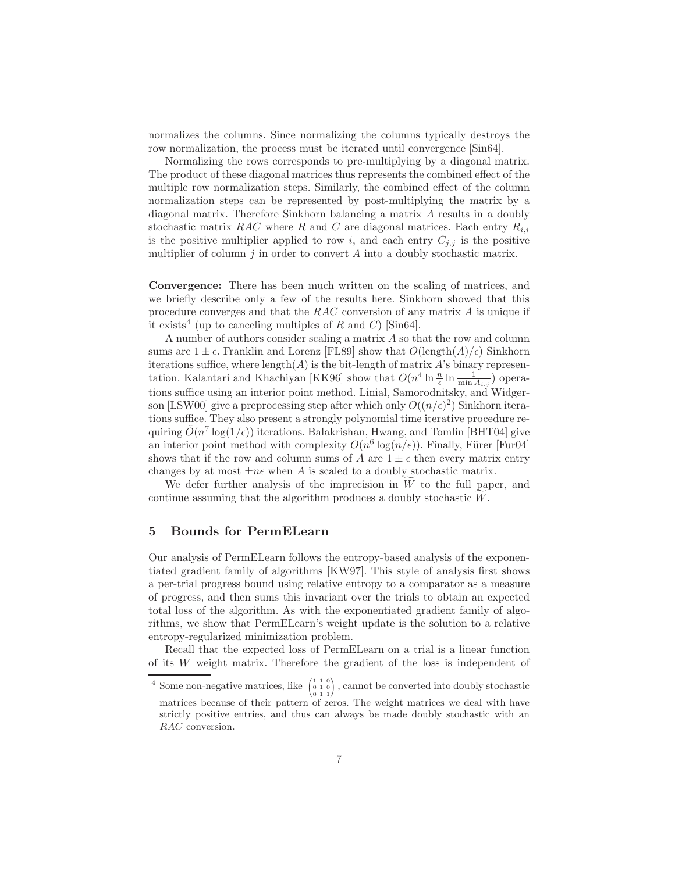normalizes the columns. Since normalizing the columns typically destroys the row normalization, the process must be iterated until convergence [Sin64].

Normalizing the rows corresponds to pre-multiplying by a diagonal matrix. The product of these diagonal matrices thus represents the combined effect of the multiple row normalization steps. Similarly, the combined effect of the column normalization steps can be represented by post-multiplying the matrix by a diagonal matrix. Therefore Sinkhorn balancing a matrix A results in a doubly stochastic matrix RAC where R and C are diagonal matrices. Each entry  $R_{i,i}$ is the positive multiplier applied to row i, and each entry  $C_{j,j}$  is the positive multiplier of column  $j$  in order to convert  $A$  into a doubly stochastic matrix.

**Convergence:** There has been much written on the scaling of matrices, and we briefly describe only a few of the results here. Sinkhorn showed that this procedure converges and that the  $RAC$  conversion of any matrix  $A$  is unique if it exists<sup>4</sup> (up to canceling multiples of R and C) [Sin64].

A number of authors consider scaling a matrix A so that the row and column sums are  $1 \pm \epsilon$ . Franklin and Lorenz [FL89] show that  $O(\text{length}(A)/\epsilon)$  Sinkhorn iterations suffice, where  $\text{length}(A)$  is the bit-length of matrix A's binary representation. Kalantari and Khachiyan [KK96] show that  $O(n^4 \ln{\frac{n}{\epsilon}} \ln{\frac{1}{\min A_{i,j}}})$  operations suffice using an interior point method. Linial, Samorodnitsky, and Widgerson [LSW00] give a preprocessing step after which only  $O((n/\epsilon)^2)$  Sinkhorn iterations suffice. They also present a strongly polynomial time iterative procedure requiring  $\tilde{O}(n^7 \log(1/\epsilon))$  iterations. Balakrishan, Hwang, and Tomlin [BHT04] give an interior point method with complexity  $O(n^6 \log(n/\epsilon))$ . Finally, Fürer [Fur04] shows that if the row and column sums of A are  $1 \pm \epsilon$  then every matrix entry changes by at most  $\pm n\epsilon$  when A is scaled to a doubly stochastic matrix.

We defer further analysis of the imprecision in  $W$  to the full paper, and continue assuming that the algorithm produces a doubly stochastic W .

## **5 Bounds for PermELearn**

Our analysis of PermELearn follows the entropy-based analysis of the exponentiated gradient family of algorithms [KW97]. This style of analysis first shows a per-trial progress bound using relative entropy to a comparator as a measure of progress, and then sums this invariant over the trials to obtain an expected total loss of the algorithm. As with the exponentiated gradient family of algorithms, we show that PermELearn's weight update is the solution to a relative entropy-regularized minimization problem.

Recall that the expected loss of PermELearn on a trial is a linear function of its W weight matrix. Therefore the gradient of the loss is independent of

<sup>&</sup>lt;sup>4</sup> Some non-negative matrices, like  $\left( \right.$  $\overline{1}$ 110 010 011 ), cannot be converted into doubly stochastic matrices because of their pattern of zeros. The weight matrices we deal with have strictly positive entries, and thus can always be made doubly stochastic with an RAC conversion.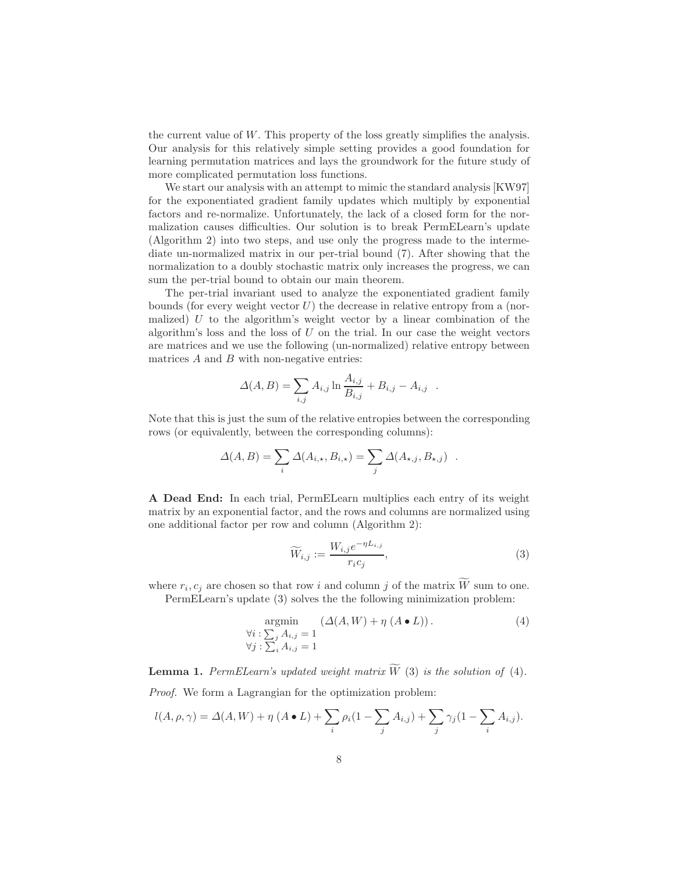the current value of  $W$ . This property of the loss greatly simplifies the analysis. Our analysis for this relatively simple setting provides a good foundation for learning permutation matrices and lays the groundwork for the future study of more complicated permutation loss functions.

We start our analysis with an attempt to mimic the standard analysis [KW97] for the exponentiated gradient family updates which multiply by exponential factors and re-normalize. Unfortunately, the lack of a closed form for the normalization causes difficulties. Our solution is to break PermELearn's update (Algorithm 2) into two steps, and use only the progress made to the intermediate un-normalized matrix in our per-trial bound (7). After showing that the normalization to a doubly stochastic matrix only increases the progress, we can sum the per-trial bound to obtain our main theorem.

The per-trial invariant used to analyze the exponentiated gradient family bounds (for every weight vector  $U$ ) the decrease in relative entropy from a (normalized)  $U$  to the algorithm's weight vector by a linear combination of the algorithm's loss and the loss of  $U$  on the trial. In our case the weight vectors are matrices and we use the following (un-normalized) relative entropy between matrices  $A$  and  $B$  with non-negative entries:

$$
\Delta(A, B) = \sum_{i,j} A_{i,j} \ln \frac{A_{i,j}}{B_{i,j}} + B_{i,j} - A_{i,j} .
$$

Note that this is just the sum of the relative entropies between the corresponding rows (or equivalently, between the corresponding columns):

$$
\Delta(A, B) = \sum_{i} \Delta(A_{i,\star}, B_{i,\star}) = \sum_{j} \Delta(A_{\star,j}, B_{\star,j}) .
$$

**A Dead End:** In each trial, PermELearn multiplies each entry of its weight matrix by an exponential factor, and the rows and columns are normalized using one additional factor per row and column (Algorithm 2):

$$
\widetilde{W}_{i,j} := \frac{W_{i,j}e^{-\eta L_{i,j}}}{r_ic_j},\tag{3}
$$

where  $r_i$ ,  $c_j$  are chosen so that row i and column j of the matrix W sum to one. PermELearn's update (3) solves the the following minimization problem:

$$
\begin{array}{ll}\n\text{argmin} & \left(\Delta(A, W) + \eta \left(A \bullet L\right)\right). \\
\forall i: \sum_{j} A_{i,j} = 1 \\
\forall j: \sum_{i} A_{i,j} = 1\n\end{array} \tag{4}
$$

**Lemma 1.** *PermELearn's updated weight matrix* W (3) *is the solution of* (4)*. Proof.* We form a Lagrangian for the optimization problem:

$$
l(A, \rho, \gamma) = \Delta(A, W) + \eta (A \bullet L) + \sum_{i} \rho_i (1 - \sum_{j} A_{i,j}) + \sum_{j} \gamma_j (1 - \sum_{i} A_{i,j}).
$$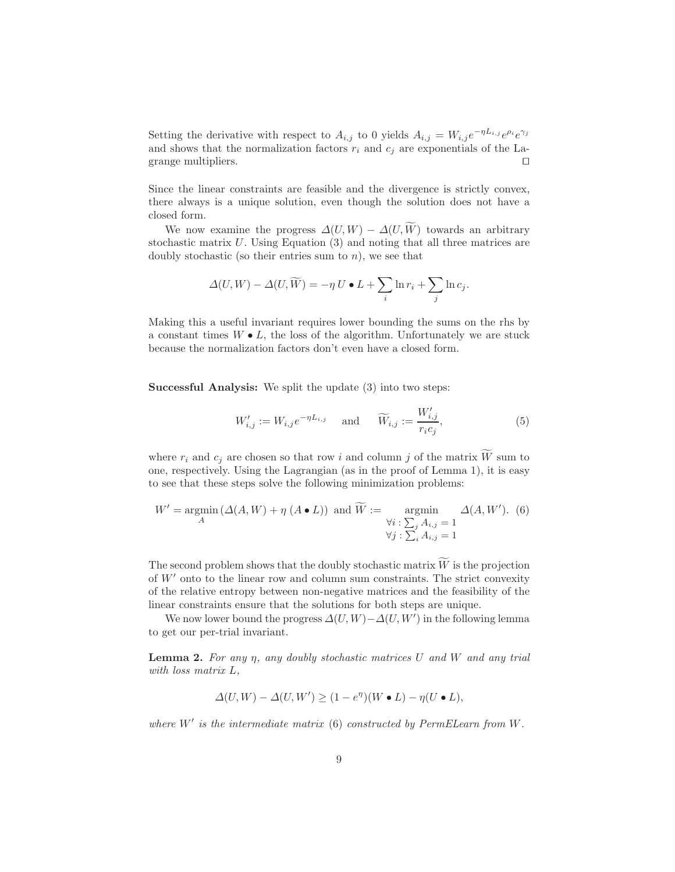Setting the derivative with respect to  $A_{i,j}$  to 0 yields  $A_{i,j} = W_{i,j} e^{-\eta L_{i,j}} e^{\rho_i} e^{\gamma_j}$ and shows that the normalization factors  $r_i$  and  $c_j$  are exponentials of the Lagrange multipliers.

Since the linear constraints are feasible and the divergence is strictly convex, there always is a unique solution, even though the solution does not have a closed form.

We now examine the progress  $\Delta(U, W) - \Delta(U, W)$  towards an arbitrary stochastic matrix  $U$ . Using Equation  $(3)$  and noting that all three matrices are doubly stochastic (so their entries sum to  $n$ ), we see that

$$
\Delta(U, W) - \Delta(U, \widetilde{W}) = -\eta \, U \bullet L + \sum_{i} \ln r_i + \sum_{j} \ln c_j.
$$

Making this a useful invariant requires lower bounding the sums on the rhs by a constant times  $W \bullet L$ , the loss of the algorithm. Unfortunately we are stuck because the normalization factors don't even have a closed form.

**Successful Analysis:** We split the update (3) into two steps:

$$
W'_{i,j} := W_{i,j} e^{-\eta L_{i,j}} \quad \text{and} \quad \widetilde{W}_{i,j} := \frac{W'_{i,j}}{r_i c_j},\tag{5}
$$

where  $r_i$  and  $c_j$  are chosen so that row i and column j of the matrix W sum to one, respectively. Using the Lagrangian (as in the proof of Lemma 1), it is easy to see that these steps solve the following minimization problems:

$$
W' = \underset{A}{\text{argmin}} \left( \Delta(A, W) + \eta \left( A \bullet L \right) \right) \text{ and } \widetilde{W} := \underset{\forall i \, : \, \sum_{j} A_{i,j} = 1}{\text{argmin}} \Delta(A, W'). \tag{6}
$$

$$
\forall i \, : \, \sum_{i} A_{i,j} = 1
$$

The second problem shows that the doubly stochastic matrix  $W$  is the projection of  $W'$  onto to the linear row and column sum constraints. The strict convexity of the relative entropy between non-negative matrices and the feasibility of the linear constraints ensure that the solutions for both steps are unique.

We now lower bound the progress  $\Delta(U, W) - \Delta(U, W')$  in the following lemma to get our per-trial invariant.

**Lemma 2.** *For any* η*, any doubly stochastic matrices* U *and* W *and any trial with loss matrix* L*,*

$$
\Delta(U, W) - \Delta(U, W') \ge (1 - e^{\eta})(W \bullet L) - \eta(U \bullet L),
$$

*where*  $W'$  *is the intermediate matrix* (6) *constructed by PermELearn from*  $W$ *.*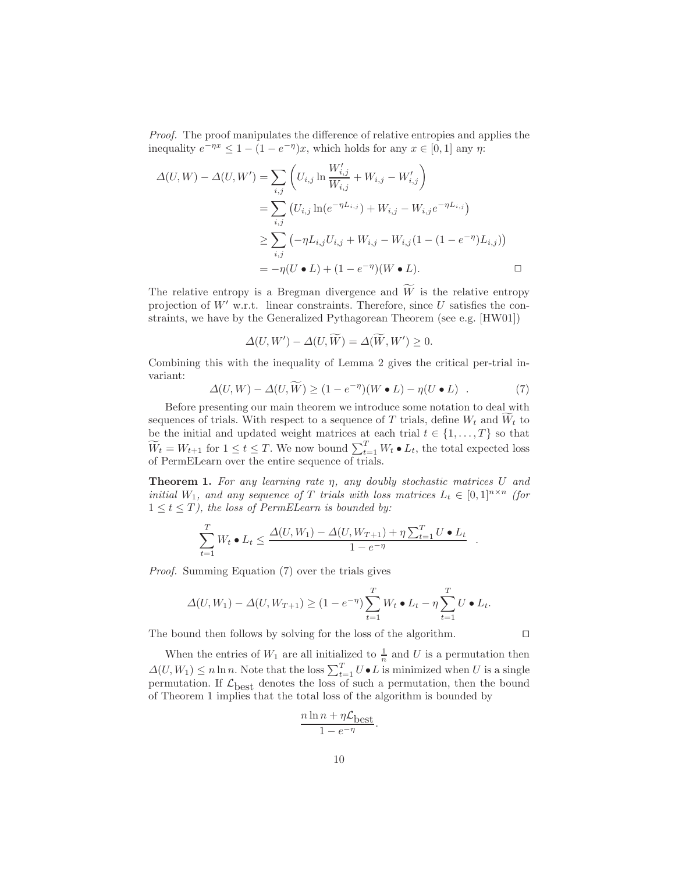*Proof.* The proof manipulates the difference of relative entropies and applies the inequality  $e^{-\eta x} \leq 1 - (1 - e^{-\eta})x$ , which holds for any  $x \in [0, 1]$  any  $\eta$ :

$$
\Delta(U, W) - \Delta(U, W') = \sum_{i,j} \left( U_{i,j} \ln \frac{W'_{i,j}}{W_{i,j}} + W_{i,j} - W'_{i,j} \right)
$$
  
= 
$$
\sum_{i,j} \left( U_{i,j} \ln(e^{-\eta L_{i,j}}) + W_{i,j} - W_{i,j} e^{-\eta L_{i,j}} \right)
$$
  

$$
\geq \sum_{i,j} \left( -\eta L_{i,j} U_{i,j} + W_{i,j} - W_{i,j} (1 - (1 - e^{-\eta}) L_{i,j}) \right)
$$
  
= 
$$
-\eta (U \bullet L) + (1 - e^{-\eta}) (W \bullet L).
$$

The relative entropy is a Bregman divergence and  $W$  is the relative entropy projection of  $W'$  w.r.t. linear constraints. Therefore, since U satisfies the constraints, we have by the Generalized Pythagorean Theorem (see e.g. [HW01])

$$
\Delta(U, W') - \Delta(U, \widetilde{W}) = \Delta(\widetilde{W}, W') \ge 0.
$$

Combining this with the inequality of Lemma 2 gives the critical per-trial invariant:

$$
\Delta(U, W) - \Delta(U, W) \ge (1 - e^{-\eta})(W \bullet L) - \eta(U \bullet L) . \tag{7}
$$

Before presenting our main theorem we introduce some notation to deal with sequences of trials. With respect to a sequence of T trials, define  $W_t$  and  $W_t$  to be the initial and updated weight matrices at each trial  $t \in \{1, ..., T\}$  so that  $\widetilde{W}_t = W_{t+1}$  for  $1 \le t \le T$ . We now bound  $\sum_{t=1}^T W_t \bullet L_t$ , the total expected loss of PermELearn over the entire sequence of trials.

**Theorem 1.** *For any learning rate* η*, any doubly stochastic matrices* U *and initial*  $W_1$ *, and any sequence of* T *trials with loss matrices*  $L_t \in [0,1]^{n \times n}$  *(for*  $1 \leq t \leq T$ *), the loss of PermELearn is bounded by:* 

$$
\sum_{t=1}^{T} W_t \bullet L_t \leq \frac{\Delta(U, W_1) - \Delta(U, W_{T+1}) + \eta \sum_{t=1}^{T} U \bullet L_t}{1 - e^{-\eta}}.
$$

*Proof.* Summing Equation (7) over the trials gives

$$
\Delta(U, W_1) - \Delta(U, W_{T+1}) \ge (1 - e^{-\eta}) \sum_{t=1}^T W_t \bullet L_t - \eta \sum_{t=1}^T U \bullet L_t.
$$

The bound then follows by solving for the loss of the algorithm.  $\square$ 

When the entries of  $W_1$  are all initialized to  $\frac{1}{n}$  and U is a permutation then  $\Delta(U, W_1) \le n \ln n$ . Note that the loss  $\sum_{t=1}^{T} U \cdot L$  is minimized when U is a single permutation. If  $\mathcal{L}_{\text{best}}$  denotes the loss of such a permutation, then the bound of Theorem 1 implies that the total loss of the algorithm is bounded by

$$
\frac{n\ln n + \eta \mathcal{L}_{\text{best}}}{1 - e^{-\eta}}.
$$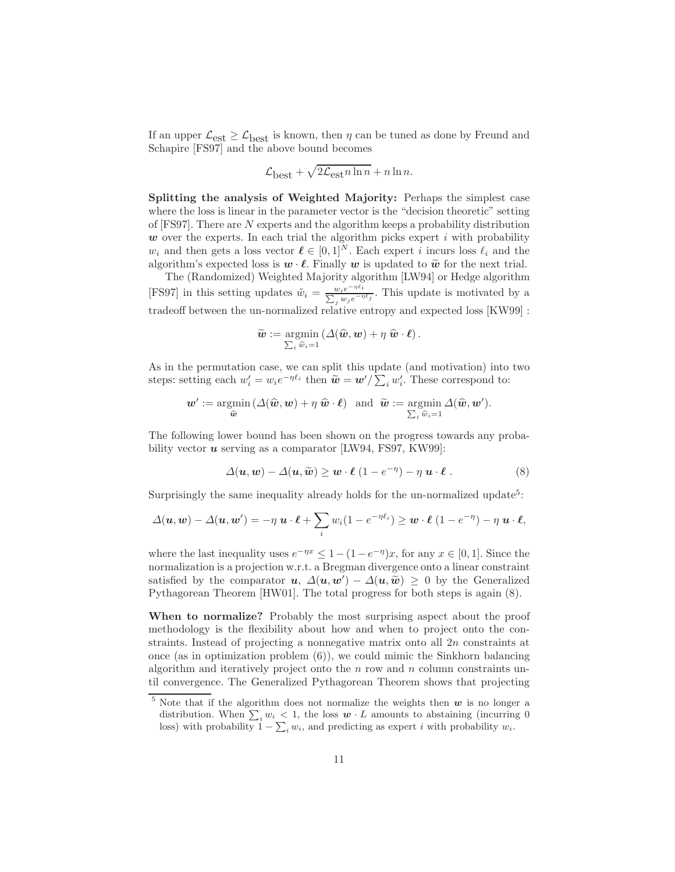If an upper  $\mathcal{L}_{\text{est}} \geq \mathcal{L}_{\text{best}}$  is known, then  $\eta$  can be tuned as done by Freund and Schapire [FS97] and the above bound becomes

$$
\mathcal{L}_{\text{best}} + \sqrt{2\mathcal{L}_{\text{est}}n\ln n} + n\ln n.
$$

**Splitting the analysis of Weighted Majority:** Perhaps the simplest case where the loss is linear in the parameter vector is the "decision theoretic" setting of [FS97]. There are N experts and the algorithm keeps a probability distribution  $w$  over the experts. In each trial the algorithm picks expert  $i$  with probability  $w_i$  and then gets a loss vector  $\ell \in [0,1]^N$ . Each expert i incurs loss  $\ell_i$  and the algorithm's expected loss is  $w \cdot \ell$ . Finally *w* is updated to  $\tilde{w}$  for the next trial.

The (Randomized) Weighted Majority algorithm [LW94] or Hedge algorithm [FS97] in this setting updates  $\tilde{w}_i = \frac{w_i e^{-\eta \ell_i}}{\sum_j w_j e^{-\eta \ell_j}}$ . This update is motivated by a tradeoff between the un-normalized relative entropy and expected loss [KW99] :

$$
\widetilde{\boldsymbol{w}} := \operatorname*{argmin}_{\sum_i \widehat{w}_i = 1} \left( \Delta(\widehat{\boldsymbol{w}}, \boldsymbol{w}) + \eta \; \widehat{\boldsymbol{w}} \cdot \boldsymbol{\ell} \right).
$$

As in the permutation case, we can split this update (and motivation) into two steps: setting each  $w'_i = w_i e^{-\eta \ell_i}$  then  $\tilde{\boldsymbol{w}} = \boldsymbol{w}' / \sum_i w'_i$ . These correspond to:

$$
\boldsymbol{w}' := \operatorname*{argmin}_{\widehat{\boldsymbol{w}}} \left( \Delta(\widehat{\boldsymbol{w}}, \boldsymbol{w}) + \eta \widehat{\boldsymbol{w}} \cdot \boldsymbol{\ell} \right) \text{ and } \widetilde{\boldsymbol{w}} := \operatorname*{argmin}_{\sum_i \widehat{w}_i = 1} \Delta(\widehat{\boldsymbol{w}}, \boldsymbol{w}').
$$

The following lower bound has been shown on the progress towards any probability vector **u** serving as a comparator [LW94, FS97, KW99]:

$$
\Delta(\boldsymbol{u},\boldsymbol{w}) - \Delta(\boldsymbol{u},\widetilde{\boldsymbol{w}}) \geq \boldsymbol{w} \cdot \boldsymbol{\ell} \left(1 - e^{-\eta}\right) - \eta \, \boldsymbol{u} \cdot \boldsymbol{\ell} \,. \tag{8}
$$

Surprisingly the same inequality already holds for the un-normalized update<sup>5</sup>:

$$
\Delta(\boldsymbol{u},\boldsymbol{w}) - \Delta(\boldsymbol{u},\boldsymbol{w}') = -\eta \, \boldsymbol{u} \cdot \boldsymbol{\ell} + \sum_i w_i (1 - e^{-\eta \ell_i}) \geq \boldsymbol{w} \cdot \boldsymbol{\ell} \, (1 - e^{-\eta}) - \eta \, \boldsymbol{u} \cdot \boldsymbol{\ell},
$$

where the last inequality uses  $e^{-\eta x} \leq 1-(1-e^{-\eta})x$ , for any  $x \in [0,1]$ . Since the normalization is a projection w.r.t. a Bregman divergence onto a linear constraint satisfied by the comparator *u*,  $\Delta(u, w') - \Delta(u, \tilde{w}) \ge 0$  by the Generalized<br>Puthagoroan Theorom [HW01] The total progress for both steps is again (8) Pythagorean Theorem [HW01]. The total progress for both steps is again (8).

**When to normalize?** Probably the most surprising aspect about the proof methodology is the flexibility about how and when to project onto the constraints. Instead of projecting a nonnegative matrix onto all 2n constraints at once (as in optimization problem  $(6)$ ), we could mimic the Sinkhorn balancing algorithm and iteratively project onto the n row and n column constraints until convergence. The Generalized Pythagorean Theorem shows that projecting

<sup>5</sup> Note that if the algorithm does not normalize the weights then *w* is no longer a distribution. When  $\sum_i w_i < 1$ , the loss  $w \cdot L$  amounts to abstaining (incurring 0) loss) with probability  $1 - \sum_i w_i$ , and predicting as expert i with probability  $w_i$ .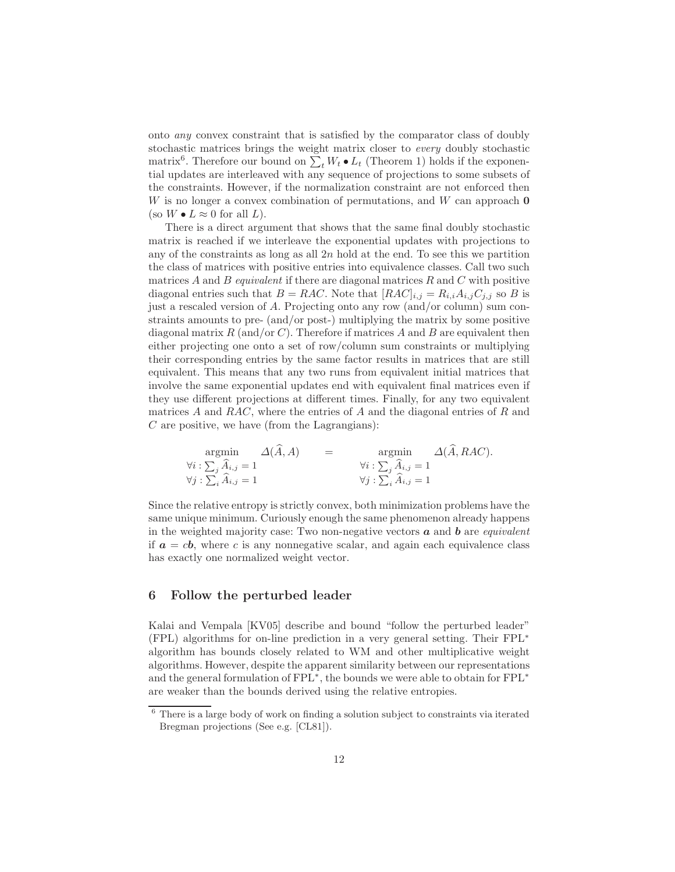onto *any* convex constraint that is satisfied by the comparator class of doubly stochastic matrices brings the weight matrix closer to *every* doubly stochastic matrix<sup>6</sup>. Therefore our bound on  $\sum_t W_t \bullet L_t$  (Theorem 1) holds if the exponential updates are interleaved with any sequence of projections to some subsets of the constraints. However, if the normalization constraint are not enforced then W is no longer a convex combination of permutations, and W can approach **0** (so  $W \bullet L \approx 0$  for all  $L$ ).

There is a direct argument that shows that the same final doubly stochastic matrix is reached if we interleave the exponential updates with projections to any of the constraints as long as all  $2n$  hold at the end. To see this we partition the class of matrices with positive entries into equivalence classes. Call two such matrices A and B *equivalent* if there are diagonal matrices R and C with positive diagonal entries such that  $B = RAC$ . Note that  $[RAC]_{i,j} = R_{i,i}A_{i,j}C_{j,j}$  so B is just a rescaled version of A. Projecting onto any row (and/or column) sum constraints amounts to pre- (and/or post-) multiplying the matrix by some positive diagonal matrix  $R$  (and/or C). Therefore if matrices A and B are equivalent then either projecting one onto a set of row/column sum constraints or multiplying their corresponding entries by the same factor results in matrices that are still equivalent. This means that any two runs from equivalent initial matrices that involve the same exponential updates end with equivalent final matrices even if they use different projections at different times. Finally, for any two equivalent matrices  $A$  and  $RAC$ , where the entries of  $A$  and the diagonal entries of  $R$  and  $C$  are positive, we have (from the Lagrangians):

$$
\begin{array}{ll}\n\text{argmin} & \Delta(\widehat{A}, A) = \text{argmin} & \Delta(\widehat{A}, RAC). \\
\forall i: \sum_{j} \widehat{A}_{i,j} = 1 & \forall j: \sum_{j} \widehat{A}_{i,j} = 1 \\
\forall j: \sum_{i} \widehat{A}_{i,j} = 1 & \forall j: \sum_{i} \widehat{A}_{i,j} = 1\n\end{array}
$$

Since the relative entropy is strictly convex, both minimization problems have the same unique minimum. Curiously enough the same phenomenon already happens in the weighted majority case: Two non-negative vectors *a* and *b* are *equivalent* if  $a = cb$ , where c is any nonnegative scalar, and again each equivalence class has exactly one normalized weight vector.

## **6 Follow the perturbed leader**

Kalai and Vempala [KV05] describe and bound "follow the perturbed leader" (FPL) algorithms for on-line prediction in a very general setting. Their FPL<sup>∗</sup> algorithm has bounds closely related to WM and other multiplicative weight algorithms. However, despite the apparent similarity between our representations and the general formulation of FPL∗, the bounds we were able to obtain for FPL<sup>∗</sup> are weaker than the bounds derived using the relative entropies.

 $6$  There is a large body of work on finding a solution subject to constraints via iterated Bregman projections (See e.g. [CL81]).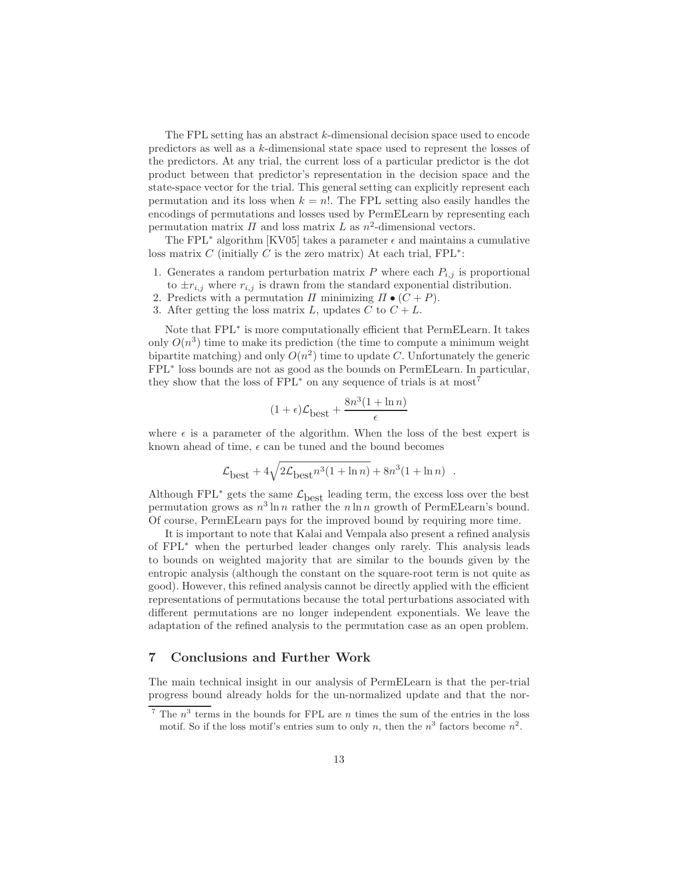The FPL setting has an abstract k-dimensional decision space used to encode predictors as well as a k-dimensional state space used to represent the losses of the predictors. At any trial, the current loss of a particular predictor is the dot product between that predictor's representation in the decision space and the state-space vector for the trial. This general setting can explicitly represent each permutation and its loss when  $k = n!$ . The FPL setting also easily handles the encodings of permutations and losses used by PermELearn by representing each permutation matrix  $\Pi$  and loss matrix  $L$  as  $n^2$ -dimensional vectors.

The FPL<sup>\*</sup> algorithm [KV05] takes a parameter  $\epsilon$  and maintains a cumulative loss matrix  $C$  (initially  $C$  is the zero matrix) At each trial,  $FPL^*$ :

- 1. Generates a random perturbation matrix P where each  $P_{i,j}$  is proportional to  $\pm r_{i,j}$  where  $r_{i,j}$  is drawn from the standard exponential distribution.
- 2. Predicts with a permutation  $\Pi$  minimizing  $\Pi \bullet (C + P)$ .
- 3. After getting the loss matrix L, updates C to  $C + L$ .

Note that FPL<sup>∗</sup> is more computationally efficient that PermELearn. It takes only  $O(n^3)$  time to make its prediction (the time to compute a minimum weight bipartite matching) and only  $O(n^2)$  time to update C. Unfortunately the generic FPL<sup>∗</sup> loss bounds are not as good as the bounds on PermELearn. In particular, they show that the loss of  $\text{FPL}^*$  on any sequence of trials is at most<sup>7</sup>

$$
(1+\epsilon)\mathcal{L}_{\text{best}} + \frac{8n^3(1+\ln n)}{\epsilon}
$$

where  $\epsilon$  is a parameter of the algorithm. When the loss of the best expert is known ahead of time,  $\epsilon$  can be tuned and the bound becomes

$$
\mathcal{L}_{\text{best}} + 4\sqrt{2\mathcal{L}_{\text{best}}n^3(1+\ln n)} + 8n^3(1+\ln n) .
$$

Although FPL<sup>∗</sup> gets the same  $\mathcal{L}_{\text{best}}$  leading term, the excess loss over the best permutation grows as  $n^3 \ln n$  rather the n  $\ln n$  growth of PermELearn's bound. Of course, PermELearn pays for the improved bound by requiring more time.

It is important to note that Kalai and Vempala also present a refined analysis of FPL<sup>∗</sup> when the perturbed leader changes only rarely. This analysis leads to bounds on weighted majority that are similar to the bounds given by the entropic analysis (although the constant on the square-root term is not quite as good). However, this refined analysis cannot be directly applied with the efficient representations of permutations because the total perturbations associated with different permutations are no longer independent exponentials. We leave the adaptation of the refined analysis to the permutation case as an open problem.

## **7 Conclusions and Further Work**

The main technical insight in our analysis of PermELearn is that the per-trial progress bound already holds for the un-normalized update and that the nor-

<sup>&</sup>lt;sup>7</sup> The  $n^3$  terms in the bounds for FPL are n times the sum of the entries in the loss motif. So if the loss motif's entries sum to only n, then the  $n^3$  factors become  $n^2$ .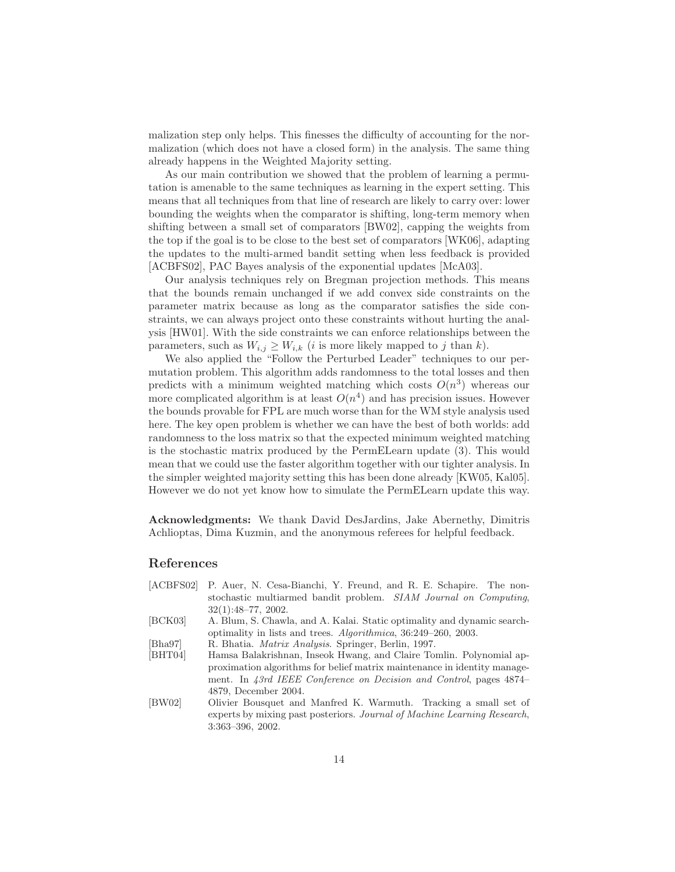malization step only helps. This finesses the difficulty of accounting for the normalization (which does not have a closed form) in the analysis. The same thing already happens in the Weighted Majority setting.

As our main contribution we showed that the problem of learning a permutation is amenable to the same techniques as learning in the expert setting. This means that all techniques from that line of research are likely to carry over: lower bounding the weights when the comparator is shifting, long-term memory when shifting between a small set of comparators [BW02], capping the weights from the top if the goal is to be close to the best set of comparators [WK06], adapting the updates to the multi-armed bandit setting when less feedback is provided [ACBFS02], PAC Bayes analysis of the exponential updates [McA03].

Our analysis techniques rely on Bregman projection methods. This means that the bounds remain unchanged if we add convex side constraints on the parameter matrix because as long as the comparator satisfies the side constraints, we can always project onto these constraints without hurting the analysis [HW01]. With the side constraints we can enforce relationships between the parameters, such as  $W_{i,j} \geq W_{i,k}$  (*i* is more likely mapped to *j* than *k*).

We also applied the "Follow the Perturbed Leader" techniques to our permutation problem. This algorithm adds randomness to the total losses and then predicts with a minimum weighted matching which costs  $O(n^3)$  whereas our more complicated algorithm is at least  $O(n^4)$  and has precision issues. However the bounds provable for FPL are much worse than for the WM style analysis used here. The key open problem is whether we can have the best of both worlds: add randomness to the loss matrix so that the expected minimum weighted matching is the stochastic matrix produced by the PermELearn update (3). This would mean that we could use the faster algorithm together with our tighter analysis. In the simpler weighted majority setting this has been done already [KW05, Kal05]. However we do not yet know how to simulate the PermELearn update this way.

**Acknowledgments:** We thank David DesJardins, Jake Abernethy, Dimitris Achlioptas, Dima Kuzmin, and the anonymous referees for helpful feedback.

## **References**

- [ACBFS02] P. Auer, N. Cesa-Bianchi, Y. Freund, and R. E. Schapire. The nonstochastic multiarmed bandit problem. *SIAM Journal on Computing*, 32(1):48–77, 2002.
- [BCK03] A. Blum, S. Chawla, and A. Kalai. Static optimality and dynamic searchoptimality in lists and trees. *Algorithmica*, 36:249–260, 2003.
- [Bha97] R. Bhatia. *Matrix Analysis*. Springer, Berlin, 1997.
- Hamsa Balakrishnan, Inseok Hwang, and Claire Tomlin. Polynomial approximation algorithms for belief matrix maintenance in identity management. In *43rd IEEE Conference on Decision and Control*, pages 4874– 4879, December 2004.
- [BW02] Olivier Bousquet and Manfred K. Warmuth. Tracking a small set of experts by mixing past posteriors. *Journal of Machine Learning Research*, 3:363–396, 2002.